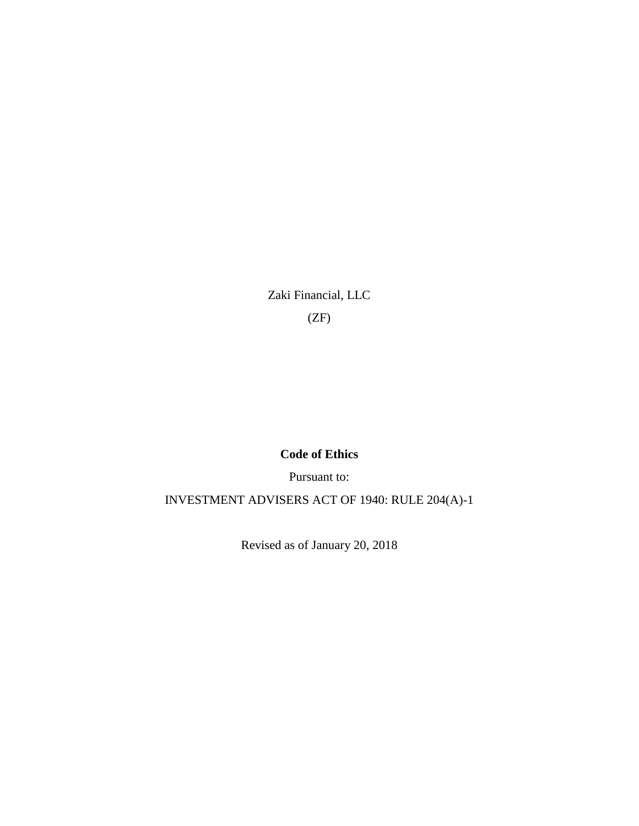Zaki Financial, LLC (ZF)

# **Code of Ethics**

Pursuant to:

INVESTMENT ADVISERS ACT OF 1940: RULE 204(A)-1

Revised as of January 20, 2018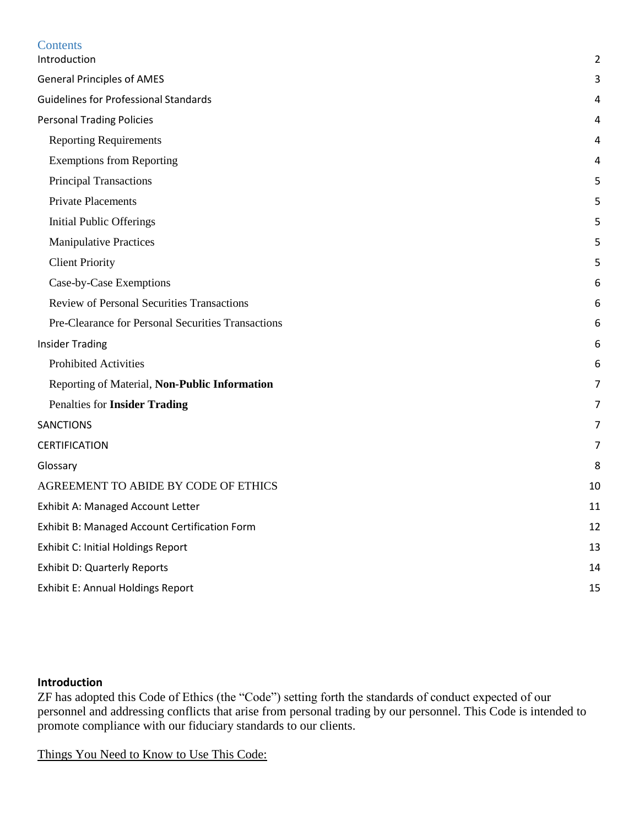| Contents                                           |                |
|----------------------------------------------------|----------------|
| Introduction                                       | 2              |
| <b>General Principles of AMES</b>                  | 3              |
| <b>Guidelines for Professional Standards</b>       | 4              |
| <b>Personal Trading Policies</b>                   | 4              |
| <b>Reporting Requirements</b>                      | 4              |
| <b>Exemptions from Reporting</b>                   | 4              |
| Principal Transactions                             | 5              |
| <b>Private Placements</b>                          | 5              |
| <b>Initial Public Offerings</b>                    | 5              |
| <b>Manipulative Practices</b>                      | 5              |
| <b>Client Priority</b>                             | 5              |
| Case-by-Case Exemptions                            | 6              |
| <b>Review of Personal Securities Transactions</b>  | 6              |
| Pre-Clearance for Personal Securities Transactions | 6              |
| <b>Insider Trading</b>                             | 6              |
| <b>Prohibited Activities</b>                       | 6              |
| Reporting of Material, Non-Public Information      | 7              |
| Penalties for Insider Trading                      | $\overline{7}$ |
| <b>SANCTIONS</b>                                   | 7              |
| <b>CERTIFICATION</b>                               | 7              |
| Glossary                                           | 8              |
| AGREEMENT TO ABIDE BY CODE OF ETHICS               | 10             |
| Exhibit A: Managed Account Letter                  | 11             |
| Exhibit B: Managed Account Certification Form      | 12             |
| <b>Exhibit C: Initial Holdings Report</b>          | 13             |
| <b>Exhibit D: Quarterly Reports</b>                | 14             |
| <b>Exhibit E: Annual Holdings Report</b>           | 15             |

## <span id="page-1-0"></span>**Introduction**

ZF has adopted this Code of Ethics (the "Code") setting forth the standards of conduct expected of our personnel and addressing conflicts that arise from personal trading by our personnel. This Code is intended to promote compliance with our fiduciary standards to our clients.

Things You Need to Know to Use This Code: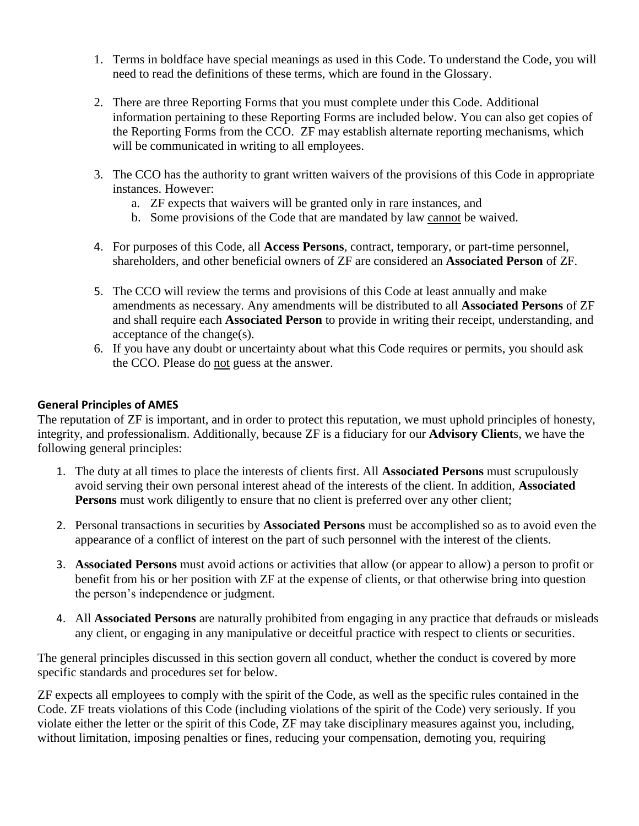- 1. Terms in boldface have special meanings as used in this Code. To understand the Code, you will need to read the definitions of these terms, which are found in the Glossary.
- 2. There are three Reporting Forms that you must complete under this Code. Additional information pertaining to these Reporting Forms are included below. You can also get copies of the Reporting Forms from the CCO. ZF may establish alternate reporting mechanisms, which will be communicated in writing to all employees.
- 3. The CCO has the authority to grant written waivers of the provisions of this Code in appropriate instances. However:
	- a. ZF expects that waivers will be granted only in rare instances, and
	- b. Some provisions of the Code that are mandated by law cannot be waived.
- 4. For purposes of this Code, all **Access Persons**, contract, temporary, or part-time personnel, shareholders, and other beneficial owners of ZF are considered an **Associated Person** of ZF.
- 5. The CCO will review the terms and provisions of this Code at least annually and make amendments as necessary. Any amendments will be distributed to all **Associated Persons** of ZF and shall require each **Associated Person** to provide in writing their receipt, understanding, and acceptance of the change(s).
- 6. If you have any doubt or uncertainty about what this Code requires or permits, you should ask the CCO. Please do not guess at the answer.

## <span id="page-2-0"></span>**General Principles of AMES**

The reputation of ZF is important, and in order to protect this reputation, we must uphold principles of honesty, integrity, and professionalism. Additionally, because ZF is a fiduciary for our **Advisory Client**s, we have the following general principles:

- 1. The duty at all times to place the interests of clients first. All **Associated Persons** must scrupulously avoid serving their own personal interest ahead of the interests of the client. In addition, **Associated Persons** must work diligently to ensure that no client is preferred over any other client;
- 2. Personal transactions in securities by **Associated Persons** must be accomplished so as to avoid even the appearance of a conflict of interest on the part of such personnel with the interest of the clients.
- 3. **Associated Persons** must avoid actions or activities that allow (or appear to allow) a person to profit or benefit from his or her position with ZF at the expense of clients, or that otherwise bring into question the person's independence or judgment.
- 4. All **Associated Persons** are naturally prohibited from engaging in any practice that defrauds or misleads any client, or engaging in any manipulative or deceitful practice with respect to clients or securities.

The general principles discussed in this section govern all conduct, whether the conduct is covered by more specific standards and procedures set for below.

ZF expects all employees to comply with the spirit of the Code, as well as the specific rules contained in the Code. ZF treats violations of this Code (including violations of the spirit of the Code) very seriously. If you violate either the letter or the spirit of this Code, ZF may take disciplinary measures against you, including, without limitation, imposing penalties or fines, reducing your compensation, demoting you, requiring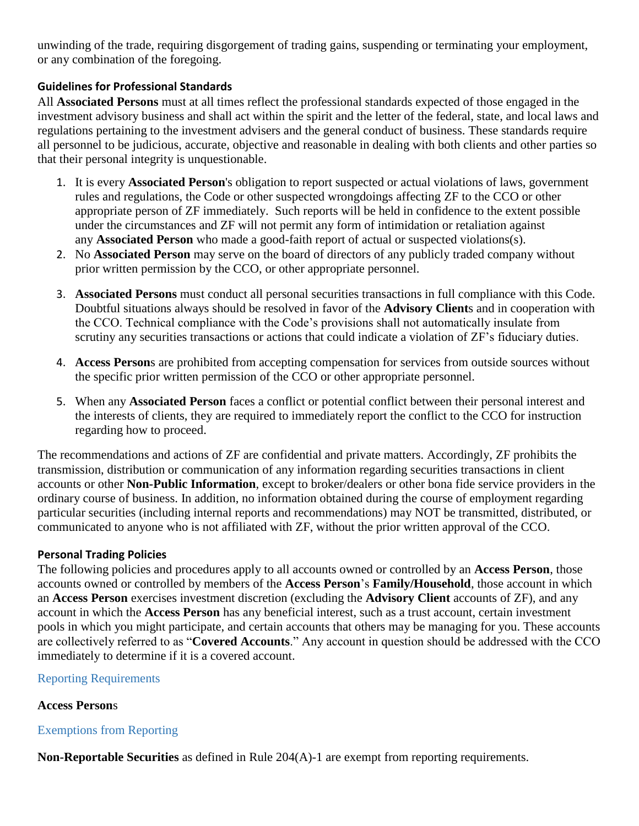unwinding of the trade, requiring disgorgement of trading gains, suspending or terminating your employment, or any combination of the foregoing.

# <span id="page-3-0"></span>**Guidelines for Professional Standards**

All **Associated Persons** must at all times reflect the professional standards expected of those engaged in the investment advisory business and shall act within the spirit and the letter of the federal, state, and local laws and regulations pertaining to the investment advisers and the general conduct of business. These standards require all personnel to be judicious, accurate, objective and reasonable in dealing with both clients and other parties so that their personal integrity is unquestionable.

- 1. It is every **Associated Person**'s obligation to report suspected or actual violations of laws, government rules and regulations, the Code or other suspected wrongdoings affecting ZF to the CCO or other appropriate person of ZF immediately. Such reports will be held in confidence to the extent possible under the circumstances and ZF will not permit any form of intimidation or retaliation against any **Associated Person** who made a good-faith report of actual or suspected violations(s).
- 2. No **Associated Person** may serve on the board of directors of any publicly traded company without prior written permission by the CCO, or other appropriate personnel.
- 3. **Associated Persons** must conduct all personal securities transactions in full compliance with this Code. Doubtful situations always should be resolved in favor of the **Advisory Client**s and in cooperation with the CCO. Technical compliance with the Code's provisions shall not automatically insulate from scrutiny any securities transactions or actions that could indicate a violation of ZF's fiduciary duties.
- 4. **Access Person**s are prohibited from accepting compensation for services from outside sources without the specific prior written permission of the CCO or other appropriate personnel.
- 5. When any **Associated Person** faces a conflict or potential conflict between their personal interest and the interests of clients, they are required to immediately report the conflict to the CCO for instruction regarding how to proceed.

The recommendations and actions of ZF are confidential and private matters. Accordingly, ZF prohibits the transmission, distribution or communication of any information regarding securities transactions in client accounts or other **Non-Public Information**, except to broker/dealers or other bona fide service providers in the ordinary course of business. In addition, no information obtained during the course of employment regarding particular securities (including internal reports and recommendations) may NOT be transmitted, distributed, or communicated to anyone who is not affiliated with ZF, without the prior written approval of the CCO.

## <span id="page-3-1"></span>**Personal Trading Policies**

The following policies and procedures apply to all accounts owned or controlled by an **Access Person**, those accounts owned or controlled by members of the **Access Person**'s **Family/Household**, those account in which an **Access Person** exercises investment discretion (excluding the **Advisory Client** accounts of ZF), and any account in which the **Access Person** has any beneficial interest, such as a trust account, certain investment pools in which you might participate, and certain accounts that others may be managing for you. These accounts are collectively referred to as "**Covered Accounts**." Any account in question should be addressed with the CCO immediately to determine if it is a covered account.

## <span id="page-3-2"></span>Reporting Requirements

## **Access Person**s

## <span id="page-3-3"></span>Exemptions from Reporting

**Non-Reportable Securities** as defined in Rule 204(A)-1 are exempt from reporting requirements.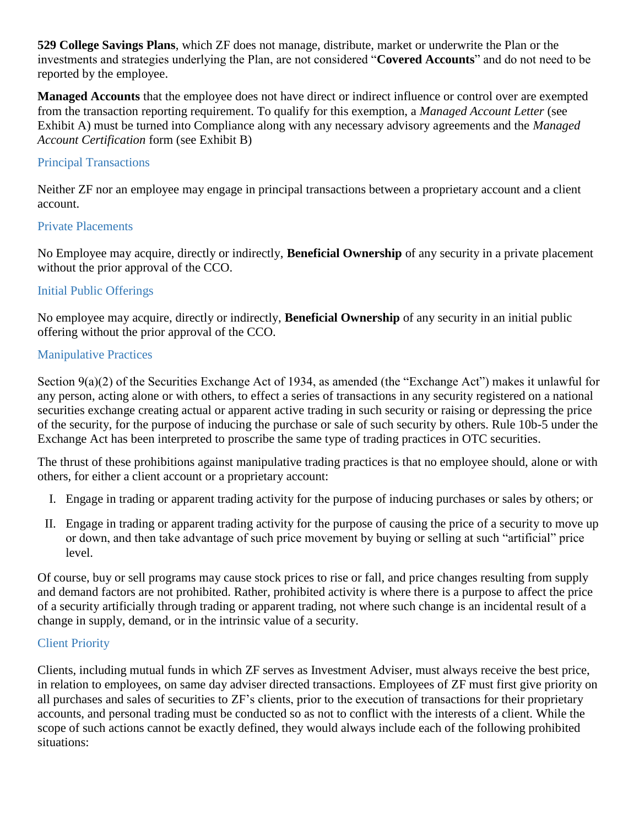**529 College Savings Plans**, which ZF does not manage, distribute, market or underwrite the Plan or the investments and strategies underlying the Plan, are not considered "**Covered Accounts**" and do not need to be reported by the employee.

**Managed Accounts** that the employee does not have direct or indirect influence or control over are exempted from the transaction reporting requirement. To qualify for this exemption, a *Managed Account Letter* (see Exhibit A) must be turned into Compliance along with any necessary advisory agreements and the *Managed Account Certification* form (see Exhibit B)

## <span id="page-4-0"></span>Principal Transactions

Neither ZF nor an employee may engage in principal transactions between a proprietary account and a client account.

## <span id="page-4-1"></span>Private Placements

No Employee may acquire, directly or indirectly, **Beneficial Ownership** of any security in a private placement without the prior approval of the CCO.

## <span id="page-4-2"></span>Initial Public Offerings

No employee may acquire, directly or indirectly, **Beneficial Ownership** of any security in an initial public offering without the prior approval of the CCO.

# <span id="page-4-3"></span>Manipulative Practices

Section 9(a)(2) of the Securities Exchange Act of 1934, as amended (the "Exchange Act") makes it unlawful for any person, acting alone or with others, to effect a series of transactions in any security registered on a national securities exchange creating actual or apparent active trading in such security or raising or depressing the price of the security, for the purpose of inducing the purchase or sale of such security by others. Rule 10b-5 under the Exchange Act has been interpreted to proscribe the same type of trading practices in OTC securities.

The thrust of these prohibitions against manipulative trading practices is that no employee should, alone or with others, for either a client account or a proprietary account:

- I. Engage in trading or apparent trading activity for the purpose of inducing purchases or sales by others; or
- II. Engage in trading or apparent trading activity for the purpose of causing the price of a security to move up or down, and then take advantage of such price movement by buying or selling at such "artificial" price level.

Of course, buy or sell programs may cause stock prices to rise or fall, and price changes resulting from supply and demand factors are not prohibited. Rather, prohibited activity is where there is a purpose to affect the price of a security artificially through trading or apparent trading, not where such change is an incidental result of a change in supply, demand, or in the intrinsic value of a security.

## <span id="page-4-4"></span>Client Priority

Clients, including mutual funds in which ZF serves as Investment Adviser, must always receive the best price, in relation to employees, on same day adviser directed transactions. Employees of ZF must first give priority on all purchases and sales of securities to ZF's clients, prior to the execution of transactions for their proprietary accounts, and personal trading must be conducted so as not to conflict with the interests of a client. While the scope of such actions cannot be exactly defined, they would always include each of the following prohibited situations: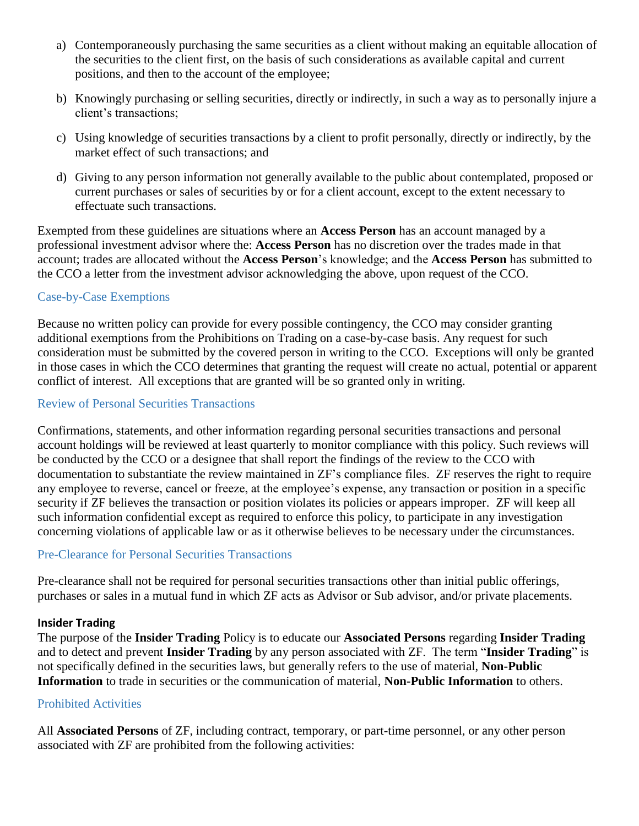- a) Contemporaneously purchasing the same securities as a client without making an equitable allocation of the securities to the client first, on the basis of such considerations as available capital and current positions, and then to the account of the employee;
- b) Knowingly purchasing or selling securities, directly or indirectly, in such a way as to personally injure a client's transactions;
- c) Using knowledge of securities transactions by a client to profit personally, directly or indirectly, by the market effect of such transactions; and
- d) Giving to any person information not generally available to the public about contemplated, proposed or current purchases or sales of securities by or for a client account, except to the extent necessary to effectuate such transactions.

Exempted from these guidelines are situations where an **Access Person** has an account managed by a professional investment advisor where the: **Access Person** has no discretion over the trades made in that account; trades are allocated without the **Access Person**'s knowledge; and the **Access Person** has submitted to the CCO a letter from the investment advisor acknowledging the above, upon request of the CCO.

## <span id="page-5-0"></span>Case-by-Case Exemptions

Because no written policy can provide for every possible contingency, the CCO may consider granting additional exemptions from the Prohibitions on Trading on a case-by-case basis. Any request for such consideration must be submitted by the covered person in writing to the CCO. Exceptions will only be granted in those cases in which the CCO determines that granting the request will create no actual, potential or apparent conflict of interest. All exceptions that are granted will be so granted only in writing.

## <span id="page-5-1"></span>Review of Personal Securities Transactions

Confirmations, statements, and other information regarding personal securities transactions and personal account holdings will be reviewed at least quarterly to monitor compliance with this policy. Such reviews will be conducted by the CCO or a designee that shall report the findings of the review to the CCO with documentation to substantiate the review maintained in ZF's compliance files. ZF reserves the right to require any employee to reverse, cancel or freeze, at the employee's expense, any transaction or position in a specific security if ZF believes the transaction or position violates its policies or appears improper. ZF will keep all such information confidential except as required to enforce this policy, to participate in any investigation concerning violations of applicable law or as it otherwise believes to be necessary under the circumstances.

## <span id="page-5-2"></span>Pre-Clearance for Personal Securities Transactions

Pre-clearance shall not be required for personal securities transactions other than initial public offerings, purchases or sales in a mutual fund in which ZF acts as Advisor or Sub advisor, and/or private placements.

#### <span id="page-5-3"></span>**Insider Trading**

The purpose of the **Insider Trading** Policy is to educate our **Associated Persons** regarding **Insider Trading** and to detect and prevent **Insider Trading** by any person associated with ZF. The term "**Insider Trading**" is not specifically defined in the securities laws, but generally refers to the use of material, **Non-Public Information** to trade in securities or the communication of material, **Non-Public Information** to others.

#### <span id="page-5-4"></span>Prohibited Activities

All **Associated Persons** of ZF, including contract, temporary, or part-time personnel, or any other person associated with ZF are prohibited from the following activities: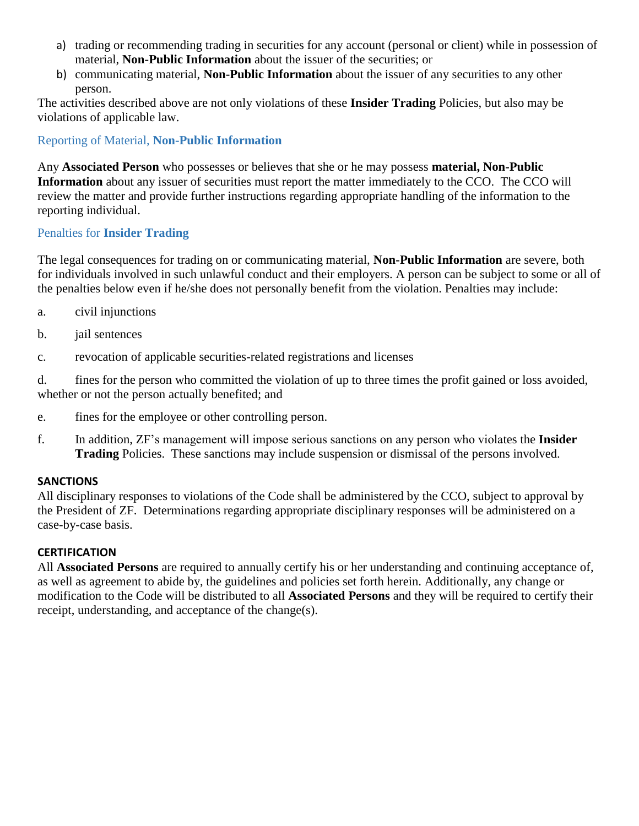- a) trading or recommending trading in securities for any account (personal or client) while in possession of material, **Non-Public Information** about the issuer of the securities; or
- b) communicating material, **Non-Public Information** about the issuer of any securities to any other person.

The activities described above are not only violations of these **Insider Trading** Policies, but also may be violations of applicable law.

<span id="page-6-0"></span>Reporting of Material, **Non-Public Information**

Any **Associated Person** who possesses or believes that she or he may possess **material, Non-Public Information** about any issuer of securities must report the matter immediately to the CCO. The CCO will review the matter and provide further instructions regarding appropriate handling of the information to the reporting individual.

## <span id="page-6-1"></span>Penalties for **Insider Trading**

The legal consequences for trading on or communicating material, **Non-Public Information** are severe, both for individuals involved in such unlawful conduct and their employers. A person can be subject to some or all of the penalties below even if he/she does not personally benefit from the violation. Penalties may include:

- a. civil injunctions
- b. jail sentences
- c. revocation of applicable securities-related registrations and licenses

d. fines for the person who committed the violation of up to three times the profit gained or loss avoided, whether or not the person actually benefited; and

- e. fines for the employee or other controlling person.
- f. In addition, ZF's management will impose serious sanctions on any person who violates the **Insider Trading** Policies. These sanctions may include suspension or dismissal of the persons involved.

## <span id="page-6-2"></span>**SANCTIONS**

All disciplinary responses to violations of the Code shall be administered by the CCO, subject to approval by the President of ZF. Determinations regarding appropriate disciplinary responses will be administered on a case-by-case basis.

#### <span id="page-6-3"></span>**CERTIFICATION**

All **Associated Persons** are required to annually certify his or her understanding and continuing acceptance of, as well as agreement to abide by, the guidelines and policies set forth herein. Additionally, any change or modification to the Code will be distributed to all **Associated Persons** and they will be required to certify their receipt, understanding, and acceptance of the change(s).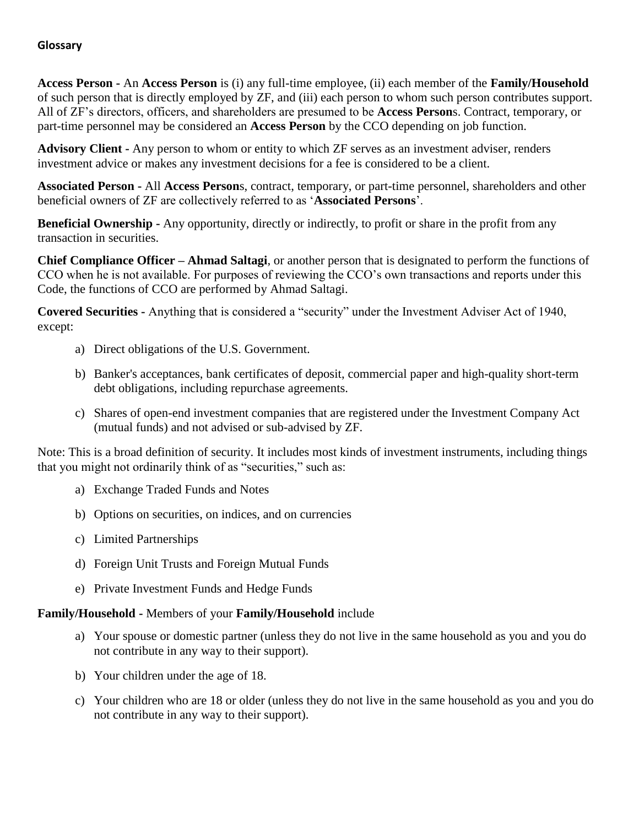## <span id="page-7-0"></span>**Glossary**

**Access Person -** An **Access Person** is (i) any full-time employee, (ii) each member of the **Family/Household** of such person that is directly employed by ZF, and (iii) each person to whom such person contributes support. All of ZF's directors, officers, and shareholders are presumed to be **Access Person**s. Contract, temporary, or part-time personnel may be considered an **Access Person** by the CCO depending on job function.

**Advisory Client -** Any person to whom or entity to which ZF serves as an investment adviser, renders investment advice or makes any investment decisions for a fee is considered to be a client.

**Associated Person -** All **Access Person**s, contract, temporary, or part-time personnel, shareholders and other beneficial owners of ZF are collectively referred to as '**Associated Persons**'.

**Beneficial Ownership -** Any opportunity, directly or indirectly, to profit or share in the profit from any transaction in securities.

**Chief Compliance Officer – Ahmad Saltagi**, or another person that is designated to perform the functions of CCO when he is not available. For purposes of reviewing the CCO's own transactions and reports under this Code, the functions of CCO are performed by Ahmad Saltagi.

**Covered Securities -** Anything that is considered a "security" under the Investment Adviser Act of 1940, except:

- a) Direct obligations of the U.S. Government.
- b) Banker's acceptances, bank certificates of deposit, commercial paper and high-quality short-term debt obligations, including repurchase agreements.
- c) Shares of open-end investment companies that are registered under the Investment Company Act (mutual funds) and not advised or sub-advised by ZF.

Note: This is a broad definition of security. It includes most kinds of investment instruments, including things that you might not ordinarily think of as "securities," such as:

- a) Exchange Traded Funds and Notes
- b) Options on securities, on indices, and on currencies
- c) Limited Partnerships
- d) Foreign Unit Trusts and Foreign Mutual Funds
- e) Private Investment Funds and Hedge Funds

## **Family/Household -** Members of your **Family/Household** include

- a) Your spouse or domestic partner (unless they do not live in the same household as you and you do not contribute in any way to their support).
- b) Your children under the age of 18.
- c) Your children who are 18 or older (unless they do not live in the same household as you and you do not contribute in any way to their support).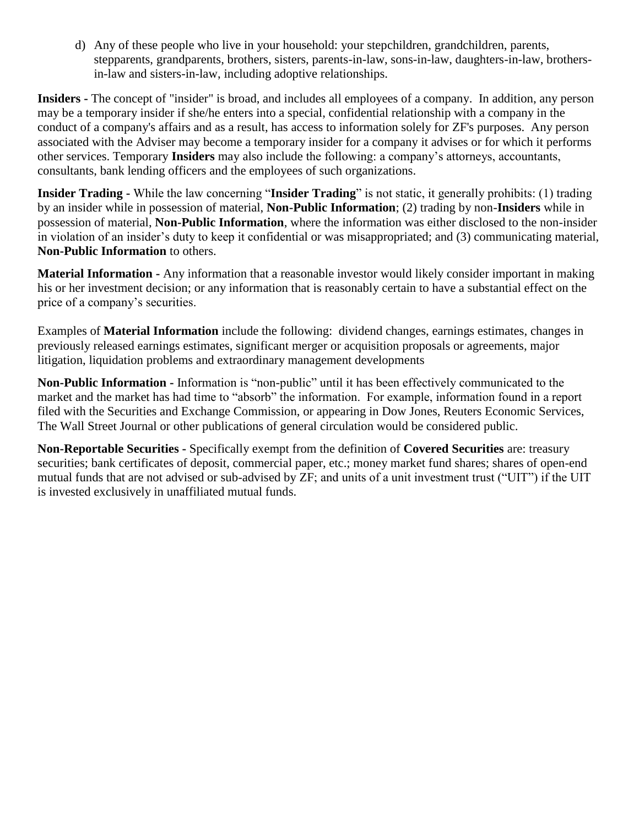d) Any of these people who live in your household: your stepchildren, grandchildren, parents, stepparents, grandparents, brothers, sisters, parents-in-law, sons-in-law, daughters-in-law, brothersin-law and sisters-in-law, including adoptive relationships.

**Insiders -** The concept of "insider" is broad, and includes all employees of a company. In addition, any person may be a temporary insider if she/he enters into a special, confidential relationship with a company in the conduct of a company's affairs and as a result, has access to information solely for ZF's purposes. Any person associated with the Adviser may become a temporary insider for a company it advises or for which it performs other services. Temporary **Insiders** may also include the following: a company's attorneys, accountants, consultants, bank lending officers and the employees of such organizations.

**Insider Trading -** While the law concerning "**Insider Trading**" is not static, it generally prohibits: (1) trading by an insider while in possession of material, **Non-Public Information**; (2) trading by non-**Insiders** while in possession of material, **Non-Public Information**, where the information was either disclosed to the non-insider in violation of an insider's duty to keep it confidential or was misappropriated; and (3) communicating material, **Non-Public Information** to others.

**Material Information -** Any information that a reasonable investor would likely consider important in making his or her investment decision; or any information that is reasonably certain to have a substantial effect on the price of a company's securities.

Examples of **Material Information** include the following: dividend changes, earnings estimates, changes in previously released earnings estimates, significant merger or acquisition proposals or agreements, major litigation, liquidation problems and extraordinary management developments

**Non-Public Information -** Information is "non-public" until it has been effectively communicated to the market and the market has had time to "absorb" the information. For example, information found in a report filed with the Securities and Exchange Commission, or appearing in Dow Jones, Reuters Economic Services, The Wall Street Journal or other publications of general circulation would be considered public.

**Non-Reportable Securities -** Specifically exempt from the definition of **Covered Securities** are: treasury securities; bank certificates of deposit, commercial paper, etc.; money market fund shares; shares of open-end mutual funds that are not advised or sub-advised by ZF; and units of a unit investment trust ("UIT") if the UIT is invested exclusively in unaffiliated mutual funds.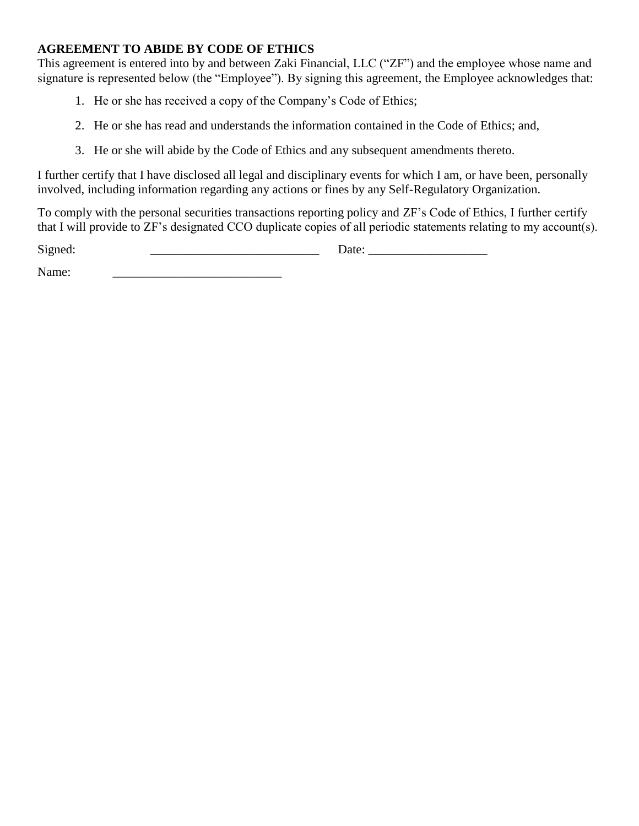# <span id="page-9-0"></span>**AGREEMENT TO ABIDE BY CODE OF ETHICS**

This agreement is entered into by and between Zaki Financial, LLC ("ZF") and the employee whose name and signature is represented below (the "Employee"). By signing this agreement, the Employee acknowledges that:

- 1. He or she has received a copy of the Company's Code of Ethics;
- 2. He or she has read and understands the information contained in the Code of Ethics; and,
- 3. He or she will abide by the Code of Ethics and any subsequent amendments thereto.

I further certify that I have disclosed all legal and disciplinary events for which I am, or have been, personally involved, including information regarding any actions or fines by any Self-Regulatory Organization.

To comply with the personal securities transactions reporting policy and ZF's Code of Ethics, I further certify that I will provide to ZF's designated CCO duplicate copies of all periodic statements relating to my account(s).

Signed:  $\Box$ 

Name: \_\_\_\_\_\_\_\_\_\_\_\_\_\_\_\_\_\_\_\_\_\_\_\_\_\_\_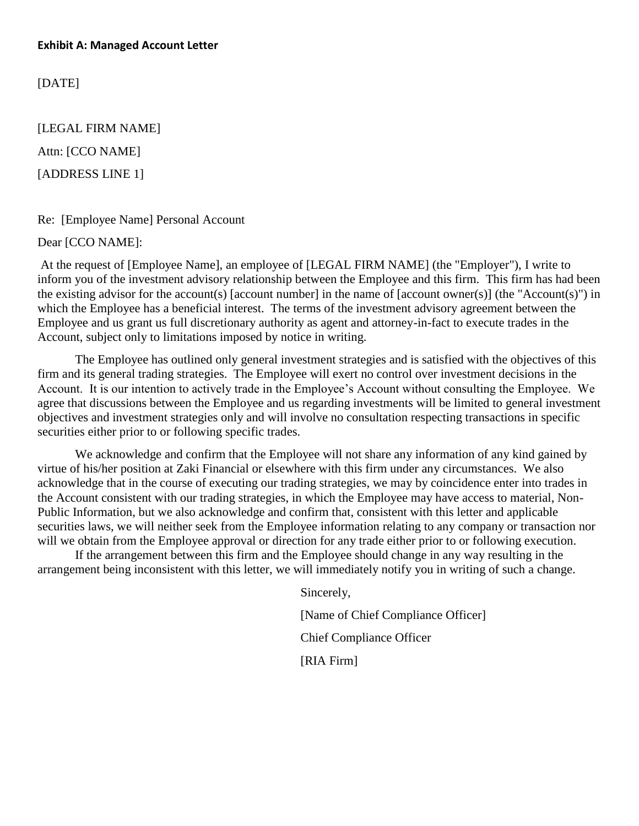<span id="page-10-0"></span>[DATE]

[LEGAL FIRM NAME] Attn: [CCO NAME] [ADDRESS LINE 1]

#### Re: [Employee Name] Personal Account

Dear [CCO NAME]:

At the request of [Employee Name], an employee of [LEGAL FIRM NAME] (the "Employer"), I write to inform you of the investment advisory relationship between the Employee and this firm. This firm has had been the existing advisor for the account(s) [account number] in the name of [account owner(s)] (the "Account(s)") in which the Employee has a beneficial interest. The terms of the investment advisory agreement between the Employee and us grant us full discretionary authority as agent and attorney-in-fact to execute trades in the Account, subject only to limitations imposed by notice in writing.

The Employee has outlined only general investment strategies and is satisfied with the objectives of this firm and its general trading strategies. The Employee will exert no control over investment decisions in the Account. It is our intention to actively trade in the Employee's Account without consulting the Employee. We agree that discussions between the Employee and us regarding investments will be limited to general investment objectives and investment strategies only and will involve no consultation respecting transactions in specific securities either prior to or following specific trades.

We acknowledge and confirm that the Employee will not share any information of any kind gained by virtue of his/her position at Zaki Financial or elsewhere with this firm under any circumstances. We also acknowledge that in the course of executing our trading strategies, we may by coincidence enter into trades in the Account consistent with our trading strategies, in which the Employee may have access to material, Non-Public Information, but we also acknowledge and confirm that, consistent with this letter and applicable securities laws, we will neither seek from the Employee information relating to any company or transaction nor will we obtain from the Employee approval or direction for any trade either prior to or following execution.

If the arrangement between this firm and the Employee should change in any way resulting in the arrangement being inconsistent with this letter, we will immediately notify you in writing of such a change.

> Sincerely, [Name of Chief Compliance Officer] Chief Compliance Officer [RIA Firm]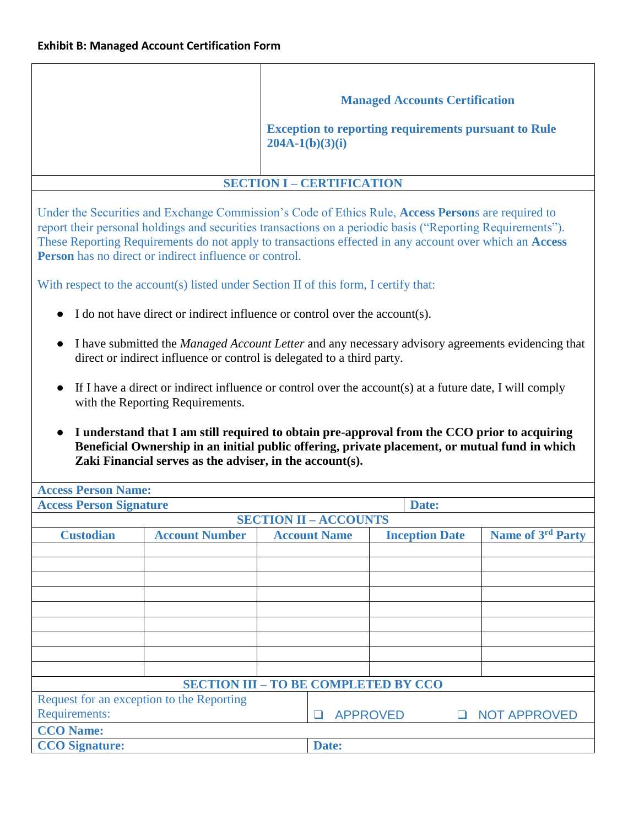<span id="page-11-0"></span>

|                                                                                                                                                                                                                                                                                                                                                                                                                                                                                                                                                                                                                               | <b>Managed Accounts Certification</b><br><b>Exception to reporting requirements pursuant to Rule</b> |  |  |  |  |  |  |  |
|-------------------------------------------------------------------------------------------------------------------------------------------------------------------------------------------------------------------------------------------------------------------------------------------------------------------------------------------------------------------------------------------------------------------------------------------------------------------------------------------------------------------------------------------------------------------------------------------------------------------------------|------------------------------------------------------------------------------------------------------|--|--|--|--|--|--|--|
| $204A-1(b)(3)(i)$                                                                                                                                                                                                                                                                                                                                                                                                                                                                                                                                                                                                             |                                                                                                      |  |  |  |  |  |  |  |
| <b>SECTION I - CERTIFICATION</b>                                                                                                                                                                                                                                                                                                                                                                                                                                                                                                                                                                                              |                                                                                                      |  |  |  |  |  |  |  |
| Under the Securities and Exchange Commission's Code of Ethics Rule, Access Persons are required to<br>report their personal holdings and securities transactions on a periodic basis ("Reporting Requirements").<br>These Reporting Requirements do not apply to transactions effected in any account over which an Access<br><b>Person</b> has no direct or indirect influence or control.                                                                                                                                                                                                                                   |                                                                                                      |  |  |  |  |  |  |  |
| With respect to the account(s) listed under Section II of this form, I certify that:                                                                                                                                                                                                                                                                                                                                                                                                                                                                                                                                          |                                                                                                      |  |  |  |  |  |  |  |
| I do not have direct or indirect influence or control over the account(s).                                                                                                                                                                                                                                                                                                                                                                                                                                                                                                                                                    |                                                                                                      |  |  |  |  |  |  |  |
| I have submitted the <i>Managed Account Letter</i> and any necessary advisory agreements evidencing that<br>direct or indirect influence or control is delegated to a third party.<br>If I have a direct or indirect influence or control over the account(s) at a future date, I will comply<br>with the Reporting Requirements.<br>I understand that I am still required to obtain pre-approval from the CCO prior to acquiring<br>Beneficial Ownership in an initial public offering, private placement, or mutual fund in which<br>Zaki Financial serves as the adviser, in the account(s).<br><b>Access Person Name:</b> |                                                                                                      |  |  |  |  |  |  |  |
| <b>Access Person Signature</b>                                                                                                                                                                                                                                                                                                                                                                                                                                                                                                                                                                                                | Date:                                                                                                |  |  |  |  |  |  |  |
| <b>SECTION II - ACCOUNTS</b>                                                                                                                                                                                                                                                                                                                                                                                                                                                                                                                                                                                                  |                                                                                                      |  |  |  |  |  |  |  |
| <b>Custodian</b><br><b>Account Number</b><br><b>Account Name</b>                                                                                                                                                                                                                                                                                                                                                                                                                                                                                                                                                              | Name of 3rd Party<br><b>Inception Date</b>                                                           |  |  |  |  |  |  |  |
|                                                                                                                                                                                                                                                                                                                                                                                                                                                                                                                                                                                                                               |                                                                                                      |  |  |  |  |  |  |  |
| <b>SECTION III - TO BE COMPLETED BY CCO</b>                                                                                                                                                                                                                                                                                                                                                                                                                                                                                                                                                                                   |                                                                                                      |  |  |  |  |  |  |  |
| Request for an exception to the Reporting<br>Requirements:<br><b>APPROVED</b><br><b>NOT APPROVED</b><br>$\Box$<br><b>CCO Name:</b><br><b>CCO</b> Signature:<br>Date:                                                                                                                                                                                                                                                                                                                                                                                                                                                          |                                                                                                      |  |  |  |  |  |  |  |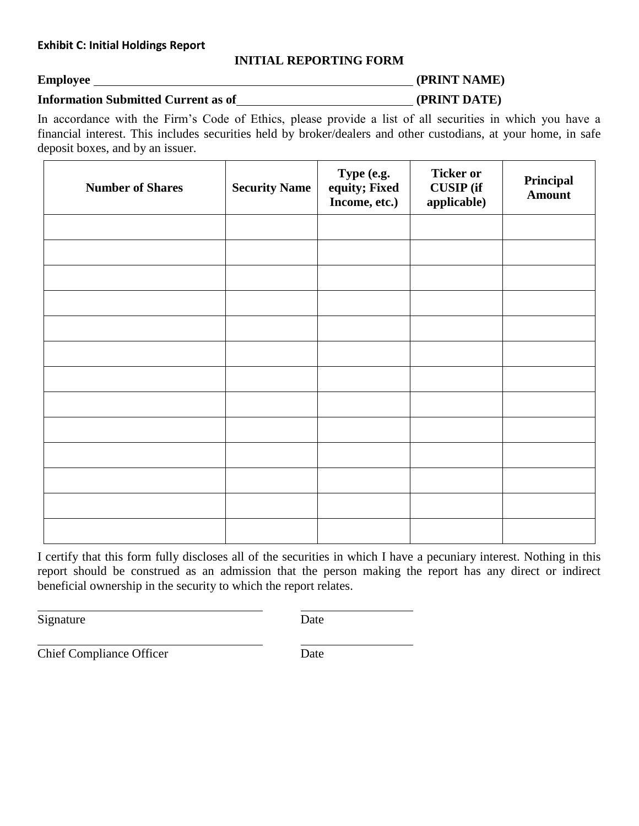## **INITIAL REPORTING FORM**

# <span id="page-12-0"></span>**Employee** (PRINT NAME) **Information Submitted Current as of (PRINT DATE)**

In accordance with the Firm's Code of Ethics, please provide a list of all securities in which you have a financial interest. This includes securities held by broker/dealers and other custodians, at your home, in safe deposit boxes, and by an issuer.

| <b>Number of Shares</b> | <b>Security Name</b> | Type (e.g.<br>equity; Fixed<br>Income, etc.) | <b>Ticker or</b><br><b>CUSIP</b> (if<br>applicable) | Principal<br><b>Amount</b> |
|-------------------------|----------------------|----------------------------------------------|-----------------------------------------------------|----------------------------|
|                         |                      |                                              |                                                     |                            |
|                         |                      |                                              |                                                     |                            |
|                         |                      |                                              |                                                     |                            |
|                         |                      |                                              |                                                     |                            |
|                         |                      |                                              |                                                     |                            |
|                         |                      |                                              |                                                     |                            |
|                         |                      |                                              |                                                     |                            |
|                         |                      |                                              |                                                     |                            |
|                         |                      |                                              |                                                     |                            |
|                         |                      |                                              |                                                     |                            |
|                         |                      |                                              |                                                     |                            |
|                         |                      |                                              |                                                     |                            |
|                         |                      |                                              |                                                     |                            |

I certify that this form fully discloses all of the securities in which I have a pecuniary interest. Nothing in this report should be construed as an admission that the person making the report has any direct or indirect beneficial ownership in the security to which the report relates.

Signature Date

**Chief Compliance Officer Date**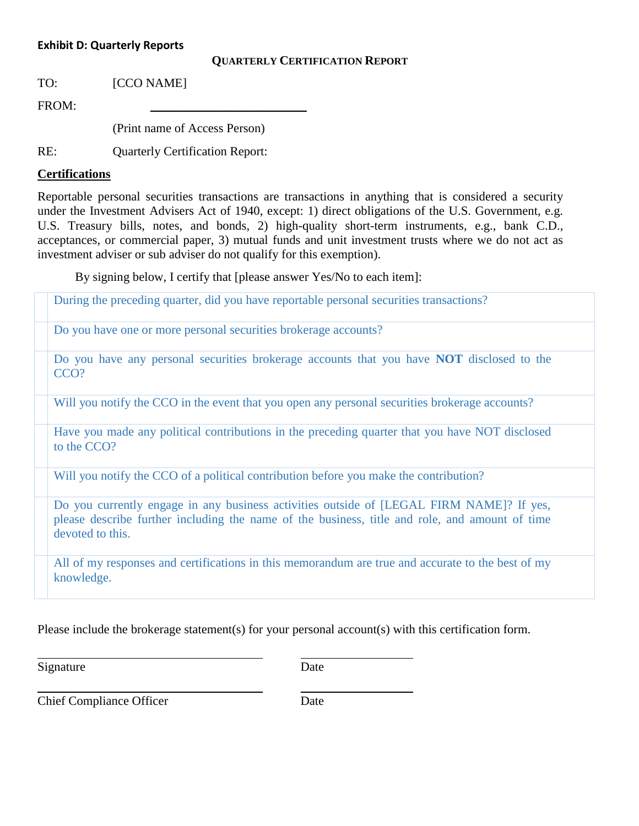#### <span id="page-13-0"></span>**Exhibit D: Quarterly Reports**

#### **QUARTERLY CERTIFICATION REPORT**

TO: [CCO NAME]

FROM:

(Print name of Access Person)

RE: Quarterly Certification Report:

#### **Certifications**

Reportable personal securities transactions are transactions in anything that is considered a security under the Investment Advisers Act of 1940, except: 1) direct obligations of the U.S. Government, e.g. U.S. Treasury bills, notes, and bonds, 2) high-quality short-term instruments, e.g., bank C.D., acceptances, or commercial paper, 3) mutual funds and unit investment trusts where we do not act as investment adviser or sub adviser do not qualify for this exemption).

By signing below, I certify that [please answer Yes/No to each item]:

During the preceding quarter, did you have reportable personal securities transactions?

Do you have one or more personal securities brokerage accounts?

Do you have any personal securities brokerage accounts that you have **NOT** disclosed to the CCO?

Will you notify the CCO in the event that you open any personal securities brokerage accounts?

Have you made any political contributions in the preceding quarter that you have NOT disclosed to the CCO?

Will you notify the CCO of a political contribution before you make the contribution?

Do you currently engage in any business activities outside of [LEGAL FIRM NAME]? If yes, please describe further including the name of the business, title and role, and amount of time devoted to this.

All of my responses and certifications in this memorandum are true and accurate to the best of my knowledge.

Please include the brokerage statement(s) for your personal account(s) with this certification form.

Signature Date

Chief Compliance Officer Date